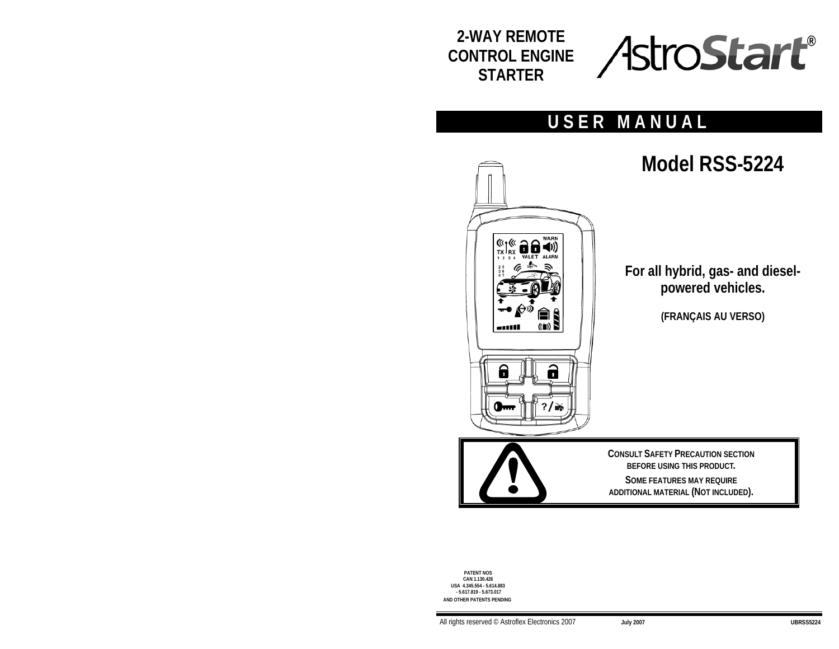



# **USER MANUAL**



**PATENT NOS CAN 1.130.426 USA 4.345.554 - 5.614.883 - 5.617.819 - 5.673.017 AND OTHER PATENTS PENDING**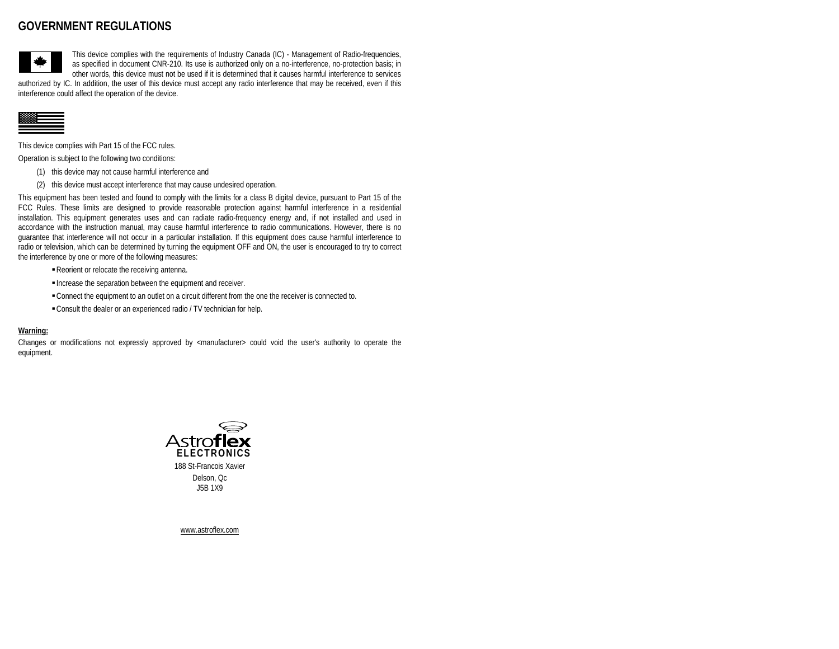# **GOVERNMENT REGULATIONS**



This device complies with the requirements of Industry Canada (IC) - Management of Radio-frequencies, as specified in document CNR-210. Its use is authorized only on a no-interference, no-protection basis; in other words, this device must not be used if it is determined that it causes harmful interference to services

authorized by IC. In addition, the user of this device must accept any radio interference that may be received, even if this interference could affect the operation of the device.



This device complies with Part 15 of the FCC rules.

Operation is subject to the following two conditions:

- (1) this device may not cause harmful interference and
- (2) this device must accept interference that may cause undesired operation.

This equipment has been tested and found to comply with the limits for a class B digital device, pursuant to Part 15 of the FCC Rules. These limits are designed to provide reasonable protection against harmful interference in a residential installation. This equipment generates uses and can radiate radio-frequency energy and, if not installed and used in accordance with the instruction manual, may cause harmful interference to radio communications. However, there is no guarantee that interference will not occur in a particular installation. If this equipment does cause harmful interference to radio or television, which can be determined by turning the equipment OFF and ON, the user is encouraged to try to correct the interference by one or more of the following measures:

- Reorient or relocate the receiving antenna.
- Increase the separation between the equipment and receiver.
- Connect the equipment to an outlet on a circuit different from the one the receiver is connected to.
- Consult the dealer or an experienced radio / TV technician for help.

#### **Warning:**

Changes or modifications not expressly approved by <manufacturer> could void the user's authority to operate the equipment.



Delson, Oc J5B 1X9

www.astroflex.com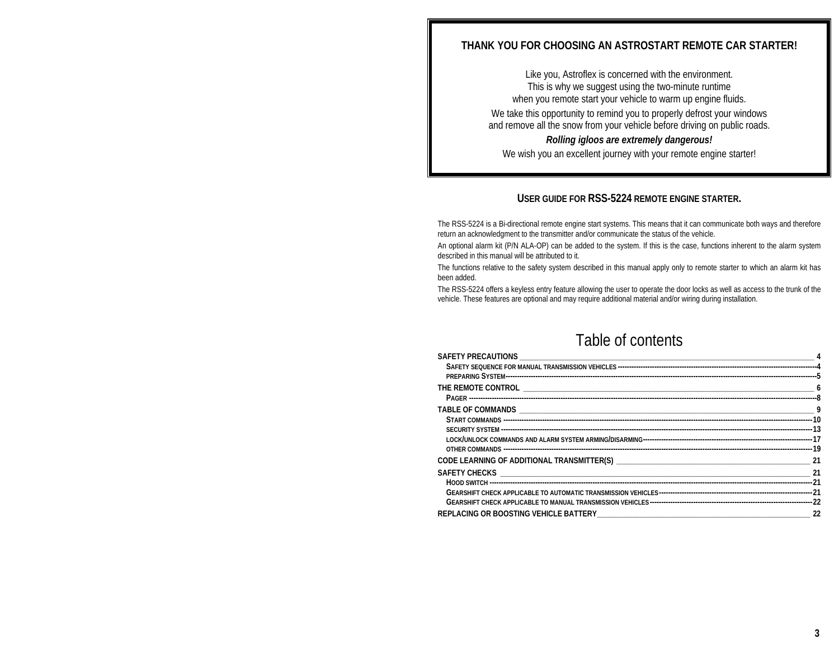# **THANK YOU FOR CHOOSING AN ASTROSTART REMOTE CAR STARTER!**

Like you, Astroflex is concerned with the environment. This is why we suggest using the two-minute runtime when you remote start your vehicle to warm up engine fluids. We take this opportunity to remind you to properly defrost your windows and remove all the snow from your vehicle before driving on public roads. *Rolling igloos are extremely dangerous!* 

We wish you an excellent journey with your remote engine starter!

## **USER GUIDE FOR RSS-5224 REMOTE ENGINE STARTER.**

The RSS-5224 is a Bi-directional remote engine start systems. This means that it can communicate both ways and therefore return an acknowledgment to the transmitter and/or communicate the status of the vehicle.

An optional alarm kit (P/N ALA-OP) can be added to the system. If this is the case, functions inherent to the alarm system described in this manual will be attributed to it.

The functions relative to the safety system described in this manual apply only to remote starter to which an alarm kit has been added.

The RSS-5224 offers a keyless entry feature allowing the user to operate the door locks as well as access to the trunk of the vehicle. These features are optional and may require additional material and/or wiring during installation.

# Table of contents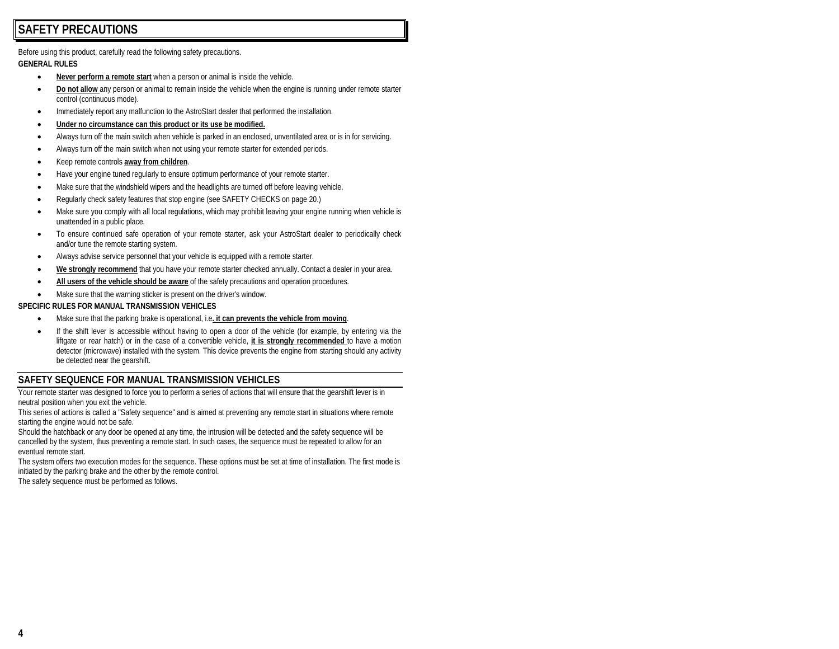# **SAFETY PRECAUTIONS**

Before using this product, carefully read the following safety precautions.

#### **GENERAL RULES**

- •**Never perform a remote start** when a person or animal is inside the vehicle.
- • **Do not allow** any person or animal to remain inside the vehicle when the engine is running under remote starter control (continuous mode).
- •Immediately report any malfunction to the AstroStart dealer that performed the installation.
- •**Under no circumstance can this product or its use be modified.**
- •Always turn off the main switch when vehicle is parked in an enclosed, unventilated area or is in for servicing.
- •Always turn off the main switch when not using your remote starter for extended periods.
- •Keep remote controls **away from children**.
- •Have your engine tuned regularly to ensure optimum performance of your remote starter.
- •Make sure that the windshield wipers and the headlights are turned off before leaving vehicle.
- •Regularly check safety features that stop engine (see SAFETY CHECKS on page 20.)
- • Make sure you comply with all local regulations, which may prohibit leaving your engine running when vehicle is unattended in a public place.
- • To ensure continued safe operation of your remote starter, ask your AstroStart dealer to periodically check and/or tune the remote starting system.
- Always advise service personnel that your vehicle is equipped with a remote starter.
- •**We strongly recommend** that you have your remote starter checked annually. Contact a dealer in your area.
- •**All users of the vehicle should be aware** of the safety precautions and operation procedures.
- •Make sure that the warning sticker is present on the driver's window.

#### **SPECIFIC RULES FOR MANUAL TRANSMISSION VEHICLES**

- Make sure that the parking brake is operational, i.e**. it can prevents the vehicle from moving**.
- • If the shift lever is accessible without having to open a door of the vehicle (for example, by entering via the liftgate or rear hatch) or in the case of a convertible vehicle, **it is strongly recommended** to have a motion detector (microwave) installed with the system. This device prevents the engine from starting should any activity be detected near the gearshift.

# **SAFETY SEQUENCE FOR MANUAL TRANSMISSION VEHICLES**

Your remote starter was designed to force you to perform a series of actions that will ensure that the gearshift lever is in neutral position when you exit the vehicle.

This series of actions is called a "Safety sequence" and is aimed at preventing any remote start in situations where remote starting the engine would not be safe.

Should the hatchback or any door be opened at any time, the intrusion will be detected and the safety sequence will be cancelled by the system, thus preventing a remote start. In such cases, the sequence must be repeated to allow for an eventual remote start.

The system offers two execution modes for the sequence. These options must be set at time of installation. The first mode is initiated by the parking brake and the other by the remote control.

The safety sequence must be performed as follows.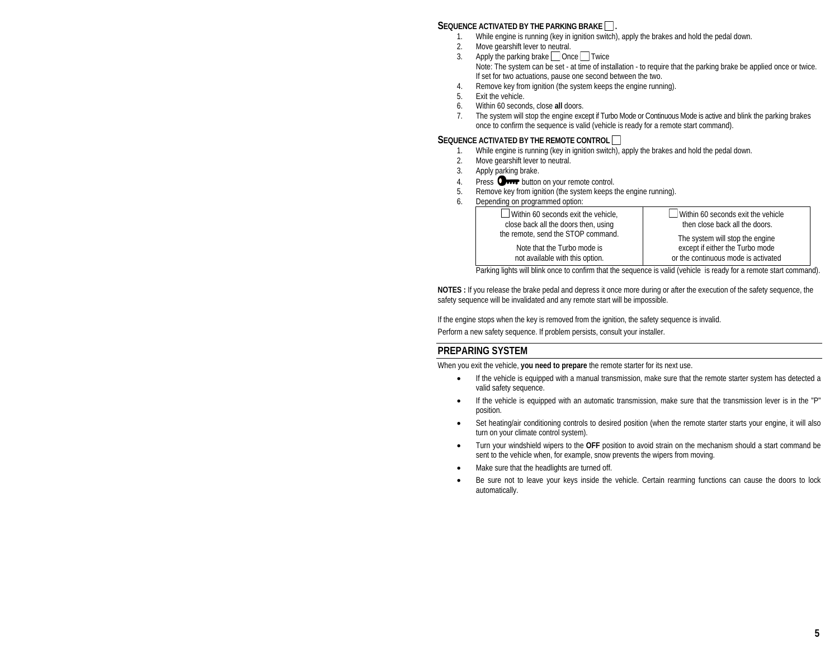## SEQUENCE ACTIVATED BY THE PARKING BRAKE  $\Box$ .

- 1.While engine is running (key in ignition switch), apply the brakes and hold the pedal down.
- $\mathfrak{2}$ Move gearshift lever to neutral.
- 3.Apply the parking brake  $\Box$  Once  $\Box$  Twice Note: The system can be set - at time of installation - to require that the parking brake be applied once or twice. If set for two actuations, pause one second between the two.
- 4.Remove key from ignition (the system keeps the engine running).
- 5.Exit the vehicle.
- 6.Within 60 seconds, close **all** doors.
- 7. The system will stop the engine except if Turbo Mode or Continuous Mode is active and blink the parking brakes once to confirm the sequence is valid (vehicle is ready for a remote start command).

#### **SEQUENCE ACTIVATED BY THE REMOTE CONTROL**

- 1.While engine is running (key in ignition switch), apply the brakes and hold the pedal down.
- $\mathfrak{D}$ Move gearshift lever to neutral.
- 3.Apply parking brake.
- 4.Press **Orror** button on your remote control.
- 5.Remove key from ignition (the system keeps the engine running).
- 6.Depending on programmed option:

| $\Box$ Within 60 seconds exit the vehicle.<br>close back all the doors then, using | $\Box$ Within 60 seconds exit the vehicle<br>then close back all the doors. |
|------------------------------------------------------------------------------------|-----------------------------------------------------------------------------|
| the remote, send the STOP command.                                                 | The system will stop the engine                                             |
| Note that the Turbo mode is                                                        | except if either the Turbo mode                                             |
| not available with this option.                                                    | or the continuous mode is activated                                         |

Parking lights will blink once to confirm that the sequence is valid (vehicle is ready for a remote start command).

**NOTES :** If you release the brake pedal and depress it once more during or after the execution of the safety sequence, the safety sequence will be invalidated and any remote start will be impossible.

If the engine stops when the key is removed from the ignition, the safety sequence is invalid. Perform a new safety sequence. If problem persists, consult your installer.

# **PREPARING SYSTEM**

When you exit the vehicle, **you need to prepare** the remote starter for its next use.

- • If the vehicle is equipped with a manual transmission, make sure that the remote starter system has detected a valid safety sequence.
- • If the vehicle is equipped with an automatic transmission, make sure that the transmission lever is in the "P" position.
- • Set heating/air conditioning controls to desired position (when the remote starter starts your engine, it will also turn on your climate control system).
- • Turn your windshield wipers to the **OFF** position to avoid strain on the mechanism should a start command be sent to the vehicle when, for example, snow prevents the wipers from moving.
- •Make sure that the headlights are turned off.
- • Be sure not to leave your keys inside the vehicle. Certain rearming functions can cause the doors to lock automatically.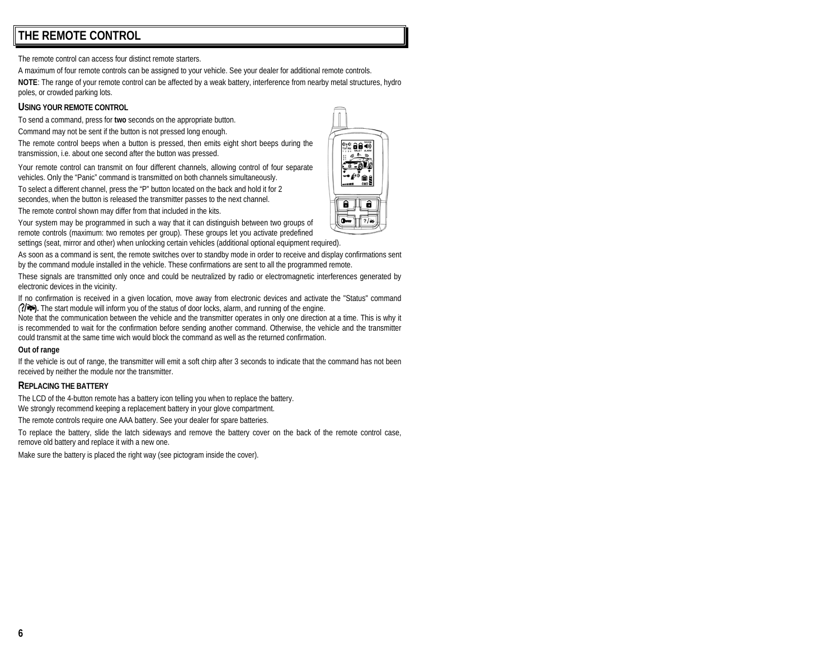# **THE REMOTE CONTROL**

The remote control can access four distinct remote starters.

A maximum of four remote controls can be assigned to your vehicle. See your dealer for additional remote controls.

**NOTE**: The range of your remote control can be affected by a weak battery, interference from nearby metal structures, hydro poles, or crowded parking lots.

#### **USING YOUR REMOTE CONTROL**

To send a command, press for **two** seconds on the appropriate button.

Command may not be sent if the button is not pressed long enough.

The remote control beeps when a button is pressed, then emits eight short beeps during the transmission, i.e. about one second after the button was pressed.

Your remote control can transmit on four different channels, allowing control of four separate vehicles. Only the "Panic" command is transmitted on both channels simultaneously.

To select a different channel, press the "P" button located on the back and hold it for 2 secondes, when the button is released the transmitter passes to the next channel.

The remote control shown may differ from that included in the kits.

Your system may be programmed in such a way that it can distinguish between two groups of remote controls (maximum: two remotes per group). These groups let you activate predefined settings (seat, mirror and other) when unlocking certain vehicles (additional optional equipment required).

As soon as a command is sent, the remote switches over to standby mode in order to receive and display confirmations sent by the command module installed in the vehicle. These confirmations are sent to all the programmed remote.

These signals are transmitted only once and could be neutralized by radio or electromagnetic interferences generated by electronic devices in the vicinity.

If no confirmation is received in a given location, move away from electronic devices and activate the "Status" command ( **).** The start module will inform you of the status of door locks, alarm, and running of the engine.

Note that the communication between the vehicle and the transmitter operates in only one direction at a time. This is why it is recommended to wait for the confirmation before sending another command. Otherwise, the vehicle and the transmitter could transmit at the same time wich would block the command as well as the returned confirmation.

#### **Out of range**

If the vehicle is out of range, the transmitter will emit a soft chirp after 3 seconds to indicate that the command has not been received by neither the module nor the transmitter.

#### **REPLACING THE BATTERY**

The LCD of the 4-button remote has a battery icon telling you when to replace the battery.

We strongly recommend keeping a replacement battery in your glove compartment.

The remote controls require one AAA battery. See your dealer for spare batteries.

To replace the battery, slide the latch sideways and remove the battery cover on the back of the remote control case, remove old battery and replace it with a new one.

Make sure the battery is placed the right way (see pictogram inside the cover).

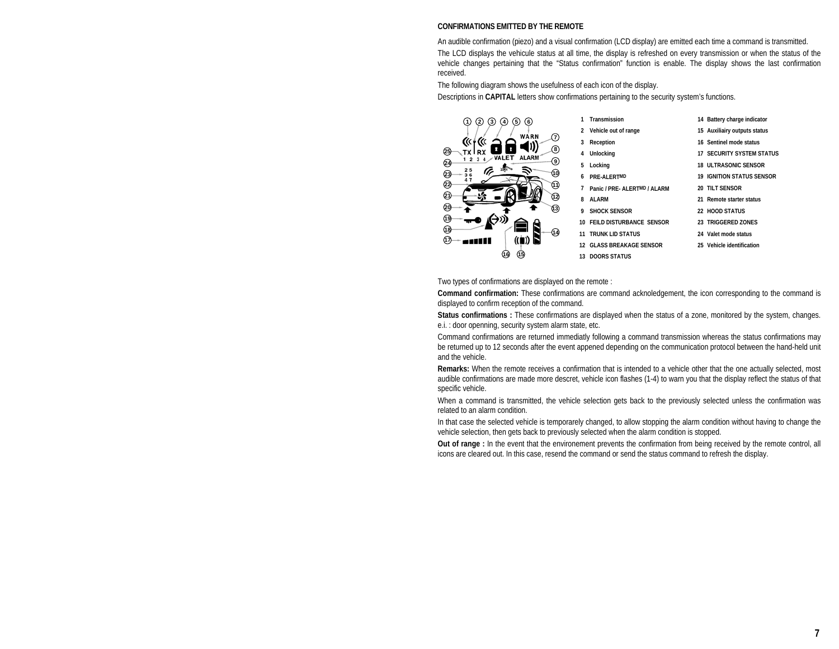### **CONFIRMATIONS EMITTED BY THE REMOTE**

An audible confirmation (piezo) and a visual confirmation (LCD display) are emitted each time a command is transmitted. The LCD displays the vehicule status at all time, the display is refreshed on every transmission or when the status of the vehicle changes pertaining that the "Status confirmation" function is enable. The display shows the last confirmation received.

The following diagram shows the usefulness of each icon of the display.

Descriptions in **CAPITAL** letters show confirmations pertaining to the security system's functions.



- 
- 
- 
- 
- 
- **7 Panic / PRE- ALERTMD / ALARM 20 TILT SENSOR**
- 
- 
- **11 TRUNK LID STATUS 24 Valet mode status**
- **12 GLASS BREAKAGE SENSOR**
- **13 DOORS STATUS**
- **1 Transmission 14 Battery charge indicator**
- **2 Vehicle out of range 15 Auxiliairy outputs status**
- **3 Reception 16 Sentinel mode status**
- **4 Unlocking 17 SECURITY SYSTEM STATUS**
- **5 Locking 18 ULTRASONIC SENSOR**
- **6 PRE-ALERTMD 19 IGNITION STATUS SENSOR** 
	-
- **8 ALARM 21 Remote starter status**
- **9 SHOCK SENSOR 22 HOOD STATUS**
- **10 FEILD DISTURBANCE SENSOR 23 TRIGGERED ZONES** 
	-
	- 25 Vehicle identification

Two types of confirmations are displayed on the remote :

**Command confirmation:** These confirmations are command acknoledgement, the icon corresponding to the command is displayed to confirm reception of the command.

**Status confirmations :** These confirmations are displayed when the status of a zone, monitored by the system, changes. e.i. : door openning, security system alarm state, etc.

Command confirmations are returned immediatly following a command transmission whereas the status confirmations may be returned up to 12 seconds after the event appened depending on the communication protocol between the hand-held unit and the vehicle.

**Remarks:** When the remote receives a confirmation that is intended to a vehicle other that the one actually selected, most audible confirmations are made more descret, vehicle icon flashes (1-4) to warn you that the display reflect the status of that specific vehicle.

When a command is transmitted, the vehicle selection gets back to the previously selected unless the confirmation was related to an alarm condition.

In that case the selected vehicle is temporarely changed, to allow stopping the alarm condition without having to change the vehicle selection, then gets back to previously selected when the alarm condition is stopped.

**Out of range :** In the event that the environement prevents the confirmation from being received by the remote control, all icons are cleared out. In this case, resend the command or send the status command to refresh the display.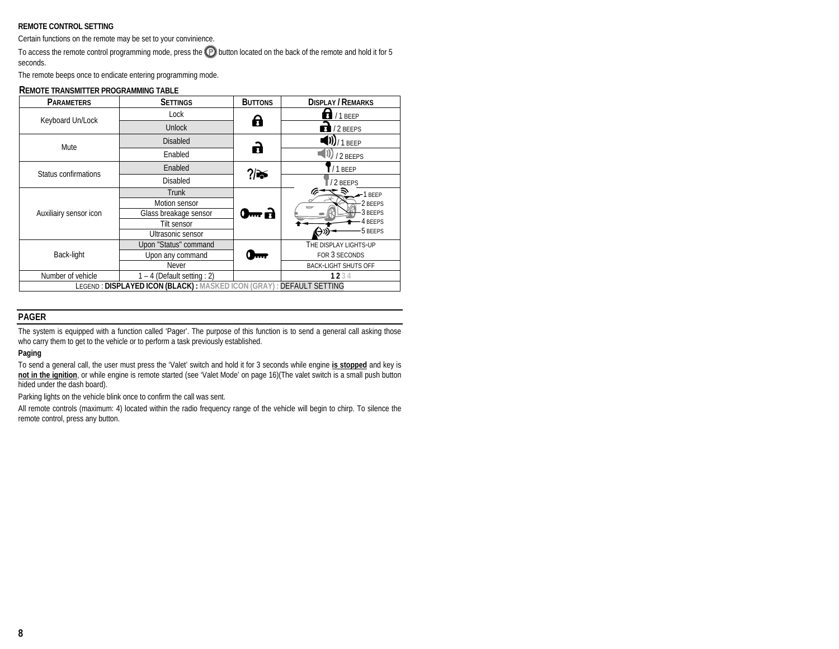#### **REMOTE CONTROL SETTING**

Certain functions on the remote may be set to your convinience.

To access the remote control programming mode, press the  $\bigcirc$  button located on the back of the remote and hold it for 5 seconds.

The remote beeps once to endicate entering programming mode.

| <b>PARAMETERS</b>                                                   | <b>SETTINGS</b>               | <b>BUTTONS</b> | <b>DISPLAY / REMARKS</b>    |  |
|---------------------------------------------------------------------|-------------------------------|----------------|-----------------------------|--|
| Keyboard Un/Lock                                                    | Lock                          | A              | $\bigoplus$ / 1 BEEP        |  |
|                                                                     | <b>Unlock</b>                 |                | $1/2$ BEEPS                 |  |
| Mute                                                                | <b>Disabled</b>               | a              | $(0)/1$ beep                |  |
|                                                                     | Enabled                       |                | /2 BFFPS                    |  |
| Status confirmations                                                | Enabled                       | ?∣≽            | /1 BEEP                     |  |
|                                                                     | <b>Disabled</b>               |                | /2 BEEPS                    |  |
|                                                                     | <b>Trunk</b>                  |                | $-1$ BEEP                   |  |
|                                                                     | Motion sensor                 |                | -2 BEEPS                    |  |
| Auxiliairy sensor icon                                              | Glass breakage sensor         | 0m B           | 3 BEEPS<br>4 BEEPS          |  |
|                                                                     | Tilt sensor                   |                |                             |  |
|                                                                     | Ultrasonic sensor             |                | <b>5 BEEPS</b>              |  |
|                                                                     | Upon "Status" command         |                | THE DISPLAY LIGHTS-UP       |  |
| Back-light                                                          | Upon any command<br><b>A</b>  |                | FOR 3 SECONDS               |  |
|                                                                     | Never                         |                | <b>BACK-LIGHT SHUTS OFF</b> |  |
| Number of vehicle                                                   | $1 - 4$ (Default setting : 2) |                | 1234                        |  |
| LEGEND: DISPLAYED ICON (BLACK): MASKED ICON (GRAY): DEFAULT SETTING |                               |                |                             |  |

#### **REMOTE TRANSMITTER PROGRAMMING TABLE**

#### **PAGER**

The system is equipped with a function called 'Pager'. The purpose of this function is to send a general call asking those who carry them to get to the vehicle or to perform a task previously established.

#### **Paging**

To send a general call, the user must press the 'Valet' switch and hold it for 3 seconds while engine **is stopped** and key is **not in the ignition**, or while engine is remote started (see 'Valet Mode' on page 16)(The valet switch is a small push button hided under the dash board).

Parking lights on the vehicle blink once to confirm the call was sent.

All remote controls (maximum: 4) located within the radio frequency range of the vehicle will begin to chirp. To silence the remote control, press any button.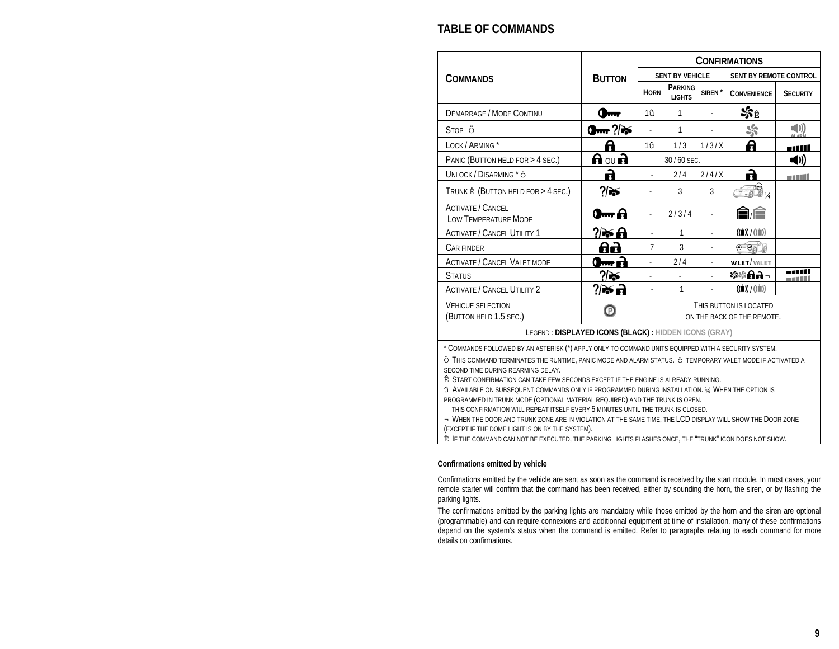# **TABLE OF COMMANDS**

|                                                                                                                                                                                                                                                                                                                                                                                                                                                                                                                                                                                                                      |                  | <b>CONFIRMATIONS</b> |                          |                    |                                       |                 |
|----------------------------------------------------------------------------------------------------------------------------------------------------------------------------------------------------------------------------------------------------------------------------------------------------------------------------------------------------------------------------------------------------------------------------------------------------------------------------------------------------------------------------------------------------------------------------------------------------------------------|------------------|----------------------|--------------------------|--------------------|---------------------------------------|-----------------|
| <b>COMMANDS</b>                                                                                                                                                                                                                                                                                                                                                                                                                                                                                                                                                                                                      | <b>BUTTON</b>    |                      | <b>SENT BY VEHICLE</b>   |                    | SENT BY REMOTE CONTROL                |                 |
|                                                                                                                                                                                                                                                                                                                                                                                                                                                                                                                                                                                                                      |                  | <b>HORN</b>          | PARKING<br><b>LIGHTS</b> | SIREN <sup>*</sup> | <b>CONVENIENCE</b>                    | <b>SECURITY</b> |
| DÉMARRAGE / MODE CONTINU                                                                                                                                                                                                                                                                                                                                                                                                                                                                                                                                                                                             | $Q_{\text{max}}$ | 1û                   | 1                        |                    | క్రి€                                 |                 |
| STOP <sub>Ö</sub>                                                                                                                                                                                                                                                                                                                                                                                                                                                                                                                                                                                                    | $\sum_{i=1}^{n}$ |                      | 1                        |                    | ್ರಿ                                   |                 |
| LOCK / ARMING *                                                                                                                                                                                                                                                                                                                                                                                                                                                                                                                                                                                                      | A                | $1\hat{u}$           | 1/3                      | 1/3/X              | A                                     |                 |
| PANIC (BUTTON HELD FOR > 4 SEC.)                                                                                                                                                                                                                                                                                                                                                                                                                                                                                                                                                                                     | ਰ ਿ∪ ਹ           |                      | 30/60 SEC.               |                    |                                       | (II)            |
| UNLOCK / DISARMING * Ö                                                                                                                                                                                                                                                                                                                                                                                                                                                                                                                                                                                               | A                |                      | 2/4                      | 2/4/X              | R                                     |                 |
| TRUNK E (BUTTON HELD FOR > 4 SEC.)                                                                                                                                                                                                                                                                                                                                                                                                                                                                                                                                                                                   | ?∣≽              |                      | 3                        | 3                  | $-04$                                 |                 |
| <b>ACTIVATE / CANCEL</b><br>LOW TEMPERATURE MODE                                                                                                                                                                                                                                                                                                                                                                                                                                                                                                                                                                     | 0 <del>m</del> A |                      | 2/3/4                    |                    | ê ê                                   |                 |
| <b>ACTIVATE / CANCEL UTILITY 1</b>                                                                                                                                                                                                                                                                                                                                                                                                                                                                                                                                                                                   | ? ≫ Ө            | ÷.                   | 1                        |                    | $((\blacksquare)) / ((\blacksquare))$ |                 |
| <b>CAR FINDER</b>                                                                                                                                                                                                                                                                                                                                                                                                                                                                                                                                                                                                    | 86               | 7                    | 3                        |                    | $O - O_0$                             |                 |
| <b>ACTIVATE / CANCEL VALET MODE</b>                                                                                                                                                                                                                                                                                                                                                                                                                                                                                                                                                                                  | $\blacksquare$ a |                      | 2/4                      |                    | <b>VALET</b> /VALET                   |                 |
| <b>STATUS</b>                                                                                                                                                                                                                                                                                                                                                                                                                                                                                                                                                                                                        | ?। क             |                      |                          |                    | फ़ं\$8∂-                              |                 |
| <b>ACTIVATE / CANCEL UTILITY 2</b>                                                                                                                                                                                                                                                                                                                                                                                                                                                                                                                                                                                   | ?⁄िक छो          |                      | 1                        |                    | $((\blacksquare)) / ((\blacksquare))$ |                 |
| <b>VEHICUE SELECTION</b><br>THIS BUTTON IS LOCATED<br>Θ<br>(BUTTON HELD 1.5 SEC.)<br>ON THE BACK OF THE REMOTE.                                                                                                                                                                                                                                                                                                                                                                                                                                                                                                      |                  |                      |                          |                    |                                       |                 |
| LEGEND: DISPLAYED ICONS (BLACK): HIDDEN ICONS (GRAY)                                                                                                                                                                                                                                                                                                                                                                                                                                                                                                                                                                 |                  |                      |                          |                    |                                       |                 |
| * COMMANDS FOLLOWED BY AN ASTERISK (*) APPLY ONLY TO COMMAND UNITS EQUIPPED WITH A SECURITY SYSTEM.<br>Ö THIS COMMAND TERMINATES THE RUNTIME, PANIC MODE AND ALARM STATUS. Ö TEMPORARY VALET MODE IF ACTIVATED A<br>SECOND TIME DURING REARMING DELAY.<br>Ê START CONFIRMATION CAN TAKE FEW SECONDS EXCEPT IF THE ENGINE IS ALREADY RUNNING.<br>G AVAILABLE ON SUBSEQUENT COMMANDS ONLY IF PROGRAMMED DURING INSTALLATION. 1/4 WHEN THE OPTION IS<br>PROGRAMMED IN TRUNK MODE (OPTIONAL MATERIAL REQUIRED) AND THE TRUNK IS OPEN.<br>THIS CONFIRMATION WILL REPEAT ITSELF EVERY 5 MINUTES UNTIL THE TRUNK IS CLOSED. |                  |                      |                          |                    |                                       |                 |

➏ WHEN THE DOOR AND TRUNK ZONE ARE IN VIOLATION AT THE SAME TIME, THE LCD DISPLAY WILL SHOW THE DOOR ZONE (EXCEPT IF THE DOME LIGHT IS ON BY THE SYSTEM).

➐ IF THE COMMAND CAN NOT BE EXECUTED, THE PARKING LIGHTS FLASHES ONCE, THE "TRUNK" ICON DOES NOT SHOW.

#### **Confirmations emitted by vehicle**

Confirmations emitted by the vehicle are sent as soon as the command is received by the start module. In most cases, your remote starter will confirm that the command has been received, either by sounding the horn, the siren, or by flashing the parking lights.

The confirmations emitted by the parking lights are mandatory while those emitted by the horn and the siren are optional (programmable) and can require connexions and additionnal equipment at time of installation. many of these confirmations depend on the system's status when the command is emitted. Refer to paragraphs relating to each command for more details on confirmations.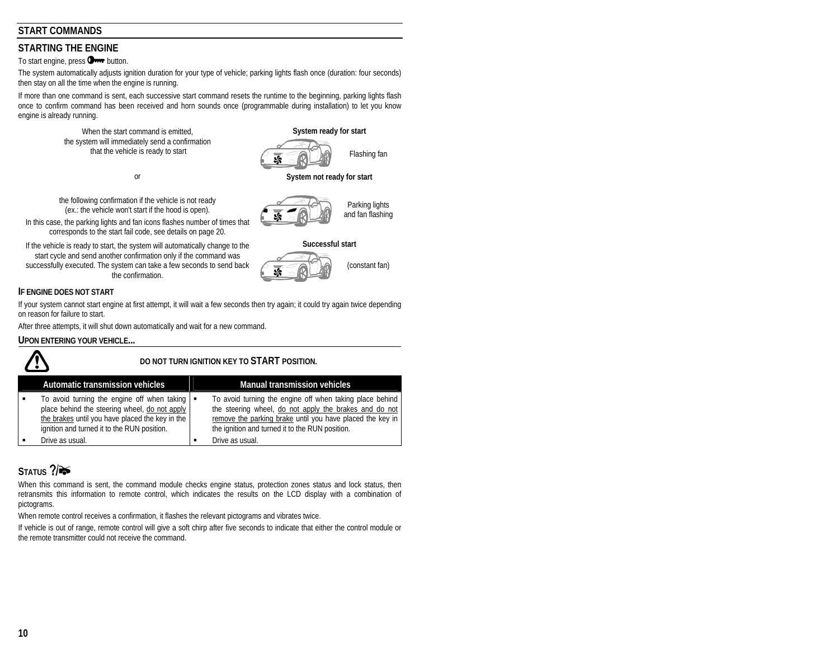# **START COMMANDS**

# **STARTING THE ENGINE**

To start engine, press **O**<sub>n</sub> button.

The system automatically adjusts ignition duration for your type of vehicle; parking lights flash once (duration: four seconds) then stay on all the time when the engine is running.

If more than one command is sent, each successive start command resets the runtime to the beginning, parking lights flash once to confirm command has been received and horn sounds once (programmable during installation) to let you know engine is already running.

> When the start command is emitted, **System ready for start System ready for start** the system will immediately send a confirmation that the vehicle is ready to start  $\left( \frac{1}{\sqrt{1-\frac{1}{\sqrt{1-\frac{1}{\sqrt{1-\frac{1}{\sqrt{1-\frac{1}{\sqrt{1-\frac{1}{\sqrt{1-\frac{1}{\sqrt{1-\frac{1}{\sqrt{1-\frac{1}{\sqrt{1-\frac{1}{\sqrt{1-\frac{1}{\sqrt{1-\frac{1}{\sqrt{1-\frac{1}{\sqrt{1-\frac{1}{\sqrt{1-\frac{1}{\sqrt{1-\frac{1}{\sqrt{1-\frac{1}{\sqrt{1-\frac{1}{\sqrt{1-\frac{1}{\sqrt{1-\frac{1}{\sqrt{1-\frac$

the following confirmation if the vehicle is not ready (ex.: the vehicle won't start if the hood is open).

In this case, the parking lights and fan icons flashes number of times that corresponds to the start fail code, see details on page 20.

If the vehicle is ready to start, the system will automatically change to the **Successful start** start cycle and send another confirmation only if the command was successfully executed. The system can take a few seconds to send back the confirmation.

#### **IF ENGINE DOES NOT START**

If your system cannot start engine at first attempt, it will wait a few seconds then try again; it could try again twice depending on reason for failure to start.

After three attempts, it will shut down automatically and wait for a new command.

#### **UPON ENTERING YOUR VEHICLE...**

## **DO NOT TURN IGNITION KEY TO START POSITION.**

| Automatic transmission vehicles                                                                                                                                                                               | <b>Manual transmission vehicles</b>                                                                                                                                                                                                |
|---------------------------------------------------------------------------------------------------------------------------------------------------------------------------------------------------------------|------------------------------------------------------------------------------------------------------------------------------------------------------------------------------------------------------------------------------------|
| To avoid turning the engine off when taking $\blacksquare$<br>place behind the steering wheel, do not apply<br>the brakes until you have placed the key in the<br>ignition and turned it to the RUN position. | To avoid turning the engine off when taking place behind<br>the steering wheel, do not apply the brakes and do not<br>remove the parking brake until you have placed the key in<br>the ignition and turned it to the RUN position. |
| Drive as usual.                                                                                                                                                                                               | Drive as usual.                                                                                                                                                                                                                    |

# STATUS ?/<del></del>

When this command is sent, the command module checks engine status, protection zones status and lock status, then retransmits this information to remote control, which indicates the results on the LCD display with a combination of pictograms.

When remote control receives a confirmation, it flashes the relevant pictograms and vibrates twice.

If vehicle is out of range, remote control will give a soft chirp after five seconds to indicate that either the control module or the remote transmitter could not receive the command.



or **System not ready for start** 



Parking lights and fan flashing



(constant fan)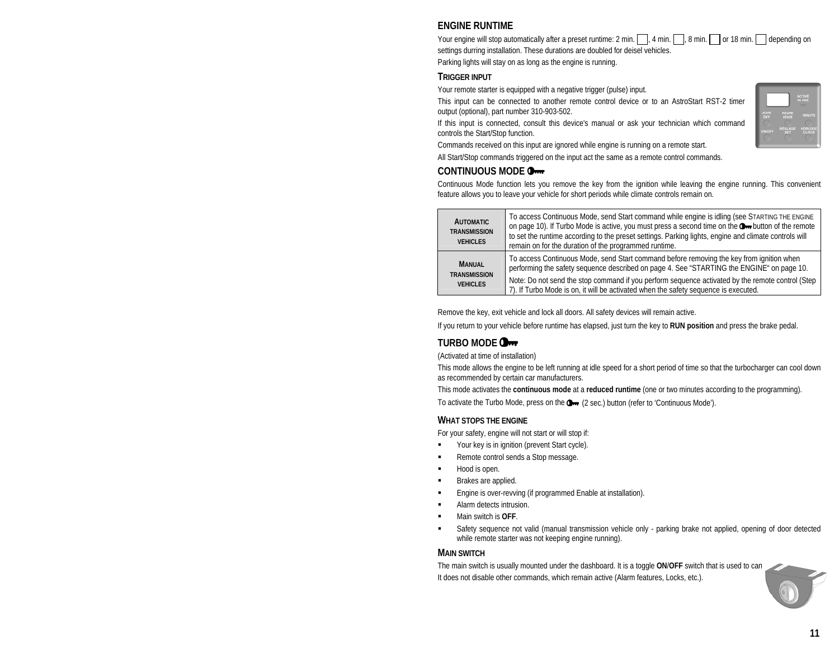# **ENGINE RUNTIME**

Your engine will stop automatically after a preset runtime: 2 min.  $\Box$ , 4 min.  $\Box$ , 8 min.  $\Box$  or 18 min.  $\Box$  depending on settings durring installation. These durations are doubled for deisel vehicles.

Parking lights will stay on as long as the engine is running.

# **TRIGGER INPUT**

Your remote starter is equipped with a negative trigger (pulse) input.

This input can be connected to another remote control device or to an AstroStart RST-2 timer output (optional), part number 310-903-502.

If this input is connected, consult this device's manual or ask your technician which command controls the Start/Stop function.

Commands received on this input are ignored while engine is running on a remote start.

All Start/Stop commands triggered on the input act the same as a remote control commands.

# **CONTINUOUS MODE**

Continuous Mode function lets you remove the key from the ignition while leaving the engine running. This convenient feature allows you to leave your vehicle for short periods while climate controls remain on.

| <b>AUTOMATIC</b><br><b>TRANSMISSION</b><br><b>VEHICLES</b> | To access Continuous Mode, send Start command while engine is idling (see STARTING THE ENGINE<br>on page 10). If Turbo Mode is active, you must press a second time on the Om button of the remote<br>to set the runtime according to the preset settings. Parking lights, engine and climate controls will<br>remain on for the duration of the programmed runtime.             |
|------------------------------------------------------------|----------------------------------------------------------------------------------------------------------------------------------------------------------------------------------------------------------------------------------------------------------------------------------------------------------------------------------------------------------------------------------|
| <b>MANUAL</b><br><b>TRANSMISSION</b><br><b>VEHICLES</b>    | To access Continuous Mode, send Start command before removing the key from ignition when<br>performing the safety sequence described on page 4. See "STARTING the ENGINE" on page 10.<br>Note: Do not send the stop command if you perform sequence activated by the remote control (Step<br>7). If Turbo Mode is on, it will be activated when the safety sequence is executed. |

Remove the key, exit vehicle and lock all doors. All safety devices will remain active.

If you return to your vehicle before runtime has elapsed, just turn the key to **RUN position** and press the brake pedal.

# **TURBO MODE**

(Activated at time of installation)

This mode allows the engine to be left running at idle speed for a short period of time so that the turbocharger can cool down as recommended by certain car manufacturers.

This mode activates the **continuous mode** at a **reduced runtime** (one or two minutes according to the programming).

To activate the Turbo Mode, press on the  $\mathbb{Q}_{m}$  (2 sec.) button (refer to 'Continuous Mode').

# **WHAT STOPS THE ENGINE**

For your safety, engine will not start or will stop if:

- п Your key is in ignition (prevent Start cycle).
- п Remote control sends a Stop message.
- п Hood is open.
- п Brakes are applied.
- п Engine is over-revving (if programmed Enable at installation).
- п Alarm detects intrusion.
- п Main switch is **OFF**.
- п Safety sequence not valid (manual transmission vehicle only - parking brake not applied, opening of door detected while remote starter was not keeping engine running).

# **MAIN SWITCH**

The main switch is usually mounted under the dashboard. It is a toggle ON/OFF switch that is used to can It does not disable other commands, which remain active (Alarm features, Locks, etc.).

|               |                | <b>ACTIVE</b><br>IN USE |
|---------------|----------------|-------------------------|
| <b>JOUR</b>   | <b>HEURE</b>   | <b>MINUTE</b>           |
| DAY           | <b>HOUR</b>    | <b>HORLOGE</b>          |
| <b>ON/OFF</b> | <b>RÉGLAGE</b> | <b>CLOCK</b>            |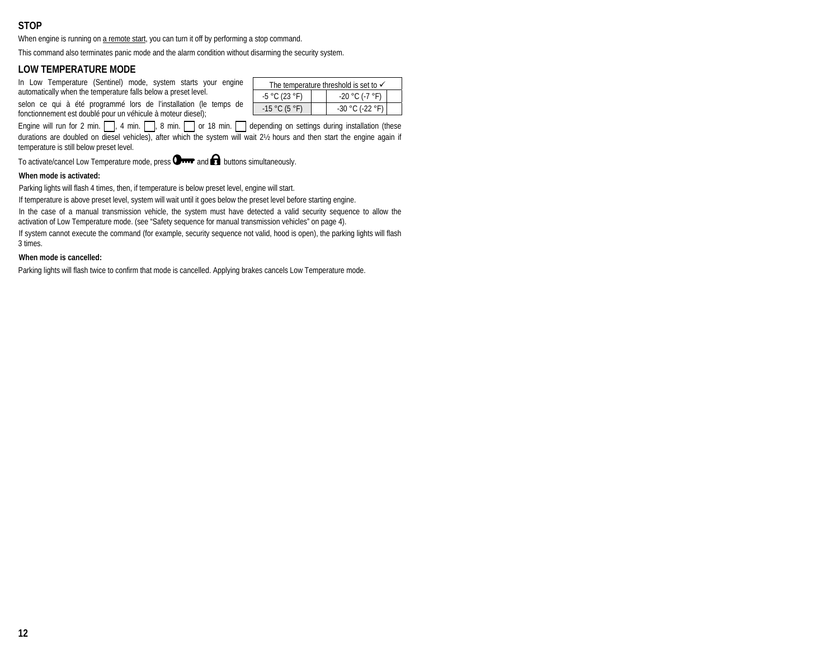# **STOP**

When engine is running on a remote start, you can turn it off by performing a stop command.

This command also terminates panic mode and the alarm condition without disarming the security system.

## **LOW TEMPERATURE MODE**

In Low Temperature (Sentinel) mode, system starts your engine automatically when the temperature falls below a preset level.

selon ce qui à été programmé lors de l'installation (le temps de fonctionnement est doublé pour un véhicule à moteur diesel);

Engine will run for 2 min.  $\Box$ , 4 min.  $\Box$ , 8 min.  $\Box$  or 18 min.  $\Box$  depending on settings during installation (these durations are doubled on diesel vehicles), after which the system will wait 2½ hours and then start the engine again if temperature is still below preset level.

To activate/cancel Low Temperature mode, press  $\mathbf{O}_{\text{max}}$  and  $\mathbf{O}_{\text{in}}$  buttons simultaneously.

#### **When mode is activated:**

Parking lights will flash 4 times, then, if temperature is below preset level, engine will start.

If temperature is above preset level, system will wait until it goes below the preset level before starting engine.

In the case of a manual transmission vehicle, the system must have detected a valid security sequence to allow the activation of Low Temperature mode. (see "Safety sequence for manual transmission vehicles" on page 4).

If system cannot execute the command (for example, security sequence not valid, hood is open), the parking lights will flash 3 times.

#### **When mode is cancelled:**

Parking lights will flash twice to confirm that mode is cancelled. Applying brakes cancels Low Temperature mode.

| The temperature threshold is set to $\checkmark$ |  |                   |  |
|--------------------------------------------------|--|-------------------|--|
| $-5 °C (23 °F)$                                  |  | $-20 °C (-7 °F)$  |  |
| $-15 °C (5 °F)$                                  |  | $-30 °C (-22 °F)$ |  |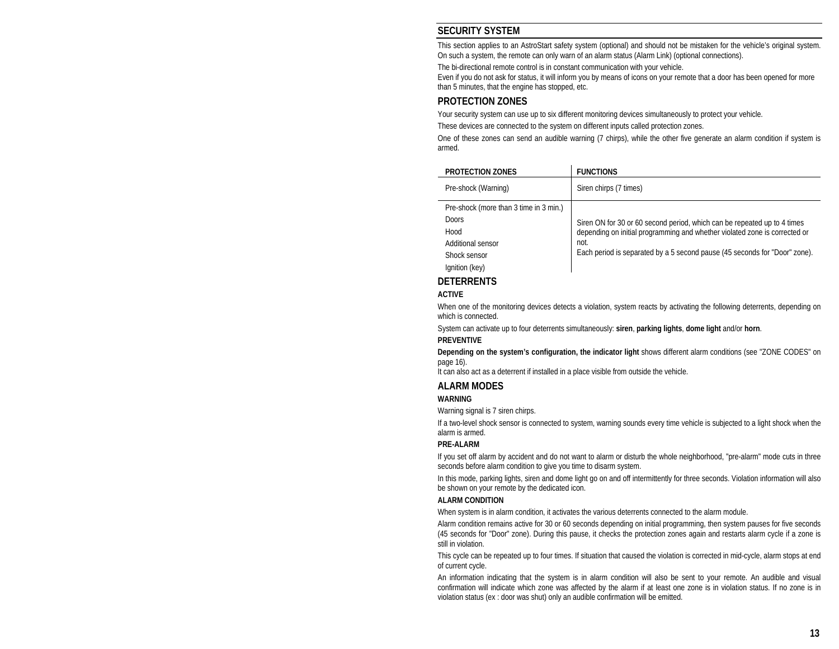# **SECURITY SYSTEM**

This section applies to an AstroStart safety system (optional) and should not be mistaken for the vehicle's original system. On such a system, the remote can only warn of an alarm status (Alarm Link) (optional connections).

The bi-directional remote control is in constant communication with your vehicle.

Even if you do not ask for status, it will inform you by means of icons on your remote that a door has been opened for more than 5 minutes, that the engine has stopped, etc.

# **PROTECTION ZONES**

Your security system can use up to six different monitoring devices simultaneously to protect your vehicle.

These devices are connected to the system on different inputs called protection zones.

One of these zones can send an audible warning (7 chirps), while the other five generate an alarm condition if system is armed.

| PROTECTION ZONES                                                                                                      | <b>FUNCTIONS</b>                                                                                                                                                                                                                             |
|-----------------------------------------------------------------------------------------------------------------------|----------------------------------------------------------------------------------------------------------------------------------------------------------------------------------------------------------------------------------------------|
| Pre-shock (Warning)                                                                                                   | Siren chirps (7 times)                                                                                                                                                                                                                       |
| Pre-shock (more than 3 time in 3 min.)<br><b>Doors</b><br>Hood<br>Additional sensor<br>Shock sensor<br>Ignition (key) | Siren ON for 30 or 60 second period, which can be repeated up to 4 times<br>depending on initial programming and whether violated zone is corrected or<br>not.<br>Each period is separated by a 5 second pause (45 seconds for "Door" zone). |

# **DETERRENTS**

#### **ACTIVE**

When one of the monitoring devices detects a violation, system reacts by activating the following deterrents, depending on which is connected.

System can activate up to four deterrents simultaneously: **siren**, **parking lights**, **dome light** and/or **horn**.

#### **PREVENTIVE**

**Depending on the system's configuration, the indicator light** shows different alarm conditions (see "ZONE CODES" on page 16).

It can also act as a deterrent if installed in a place visible from outside the vehicle.

# **ALARM MODES**

#### **WARNING**

Warning signal is 7 siren chirps.

If a two-level shock sensor is connected to system, warning sounds every time vehicle is subjected to a light shock when the alarm is armed.

#### **PRE-ALARM**

If you set off alarm by accident and do not want to alarm or disturb the whole neighborhood, "pre-alarm" mode cuts in three seconds before alarm condition to give you time to disarm system.

In this mode, parking lights, siren and dome light go on and off intermittently for three seconds. Violation information will also be shown on your remote by the dedicated icon.

#### **ALARM CONDITION**

When system is in alarm condition, it activates the various deterrents connected to the alarm module.

Alarm condition remains active for 30 or 60 seconds depending on initial programming, then system pauses for five seconds (45 seconds for "Door" zone). During this pause, it checks the protection zones again and restarts alarm cycle if a zone is still in violation.

This cycle can be repeated up to four times. If situation that caused the violation is corrected in mid-cycle, alarm stops at end of current cycle.

An information indicating that the system is in alarm condition will also be sent to your remote. An audible and visual confirmation will indicate which zone was affected by the alarm if at least one zone is in violation status. If no zone is in violation status (ex : door was shut) only an audible confirmation will be emitted.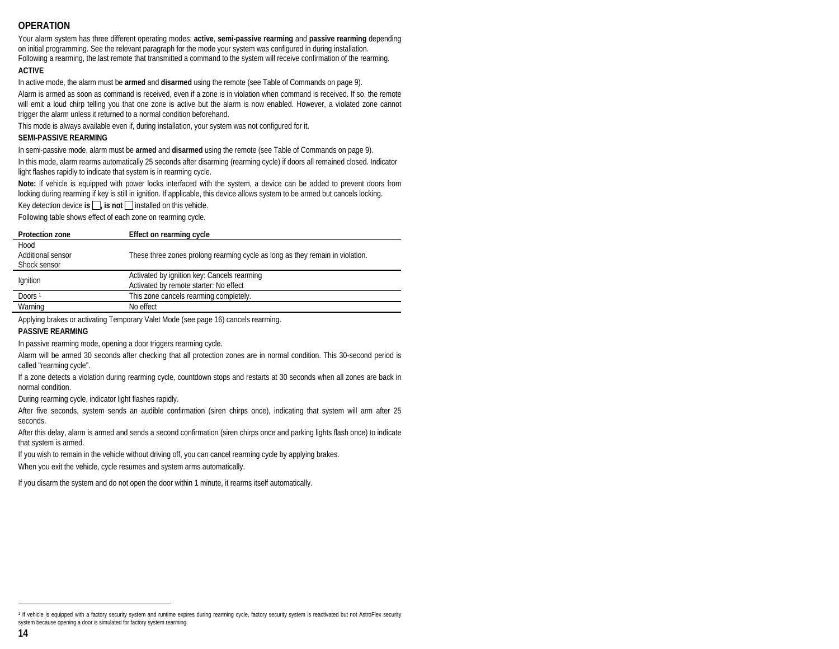# **OPERATION**

Your alarm system has three different operating modes: **active**, **semi-passive rearming** and **passive rearming** depending on initial programming. See the relevant paragraph for the mode your system was configured in during installation. Following a rearming, the last remote that transmitted a command to the system will receive confirmation of the rearming.

#### **ACTIVE**

In active mode, the alarm must be **armed** and **disarmed** using the remote (see Table of Commands on page 9).

Alarm is armed as soon as command is received, even if a zone is in violation when command is received. If so, the remote will emit a loud chirp telling you that one zone is active but the alarm is now enabled. However, a violated zone cannot trigger the alarm unless it returned to a normal condition beforehand.

This mode is always available even if, during installation, your system was not configured for it.

#### **SEMI-PASSIVE REARMING**

In semi-passive mode, alarm must be **armed** and **disarmed** using the remote (see Table of Commands on page 9).

In this mode, alarm rearms automatically 25 seconds after disarming (rearming cycle) if doors all remained closed. Indicator light flashes rapidly to indicate that system is in rearming cycle.

**Note:** If vehicle is equipped with power locks interfaced with the system, a device can be added to prevent doors from locking during rearming if key is still in ignition. If applicable, this device allows system to be armed but cancels locking.

Key detection device **is**  $\Box$ , **is not**  $\Box$  installed on this vehicle.

Following table shows effect of each zone on rearming cycle.

| <b>Protection zone</b> | Effect on rearming cycle                                                      |
|------------------------|-------------------------------------------------------------------------------|
| Hood                   |                                                                               |
| Additional sensor      | These three zones prolong rearming cycle as long as they remain in violation. |
| Shock sensor           |                                                                               |
|                        | Activated by ignition key: Cancels rearming                                   |
| Ignition               | Activated by remote starter: No effect                                        |
| Doors <sup>1</sup>     | This zone cancels rearming completely.                                        |
| Warning                | No effect                                                                     |

Applying brakes or activating Temporary Valet Mode (see page 16) cancels rearming.

#### **PASSIVE REARMING**

In passive rearming mode, opening a door triggers rearming cycle.

Alarm will be armed 30 seconds after checking that all protection zones are in normal condition. This 30-second period is called "rearming cycle".

If a zone detects a violation during rearming cycle, countdown stops and restarts at 30 seconds when all zones are back in normal condition.

During rearming cycle, indicator light flashes rapidly.

After five seconds, system sends an audible confirmation (siren chirps once), indicating that system will arm after 25 seconds.

After this delay, alarm is armed and sends a second confirmation (siren chirps once and parking lights flash once) to indicate that system is armed.

If you wish to remain in the vehicle without driving off, you can cancel rearming cycle by applying brakes.

When you exit the vehicle, cycle resumes and system arms automatically.

If you disarm the system and do not open the door within 1 minute, it rearms itself automatically.

<sup>&</sup>lt;sup>1</sup> If vehicle is equipped with a factory security system and runtime expires during rearming cycle, factory security system is reactivated but not AstroFlex security system because opening a door is simulated for factory system rearming.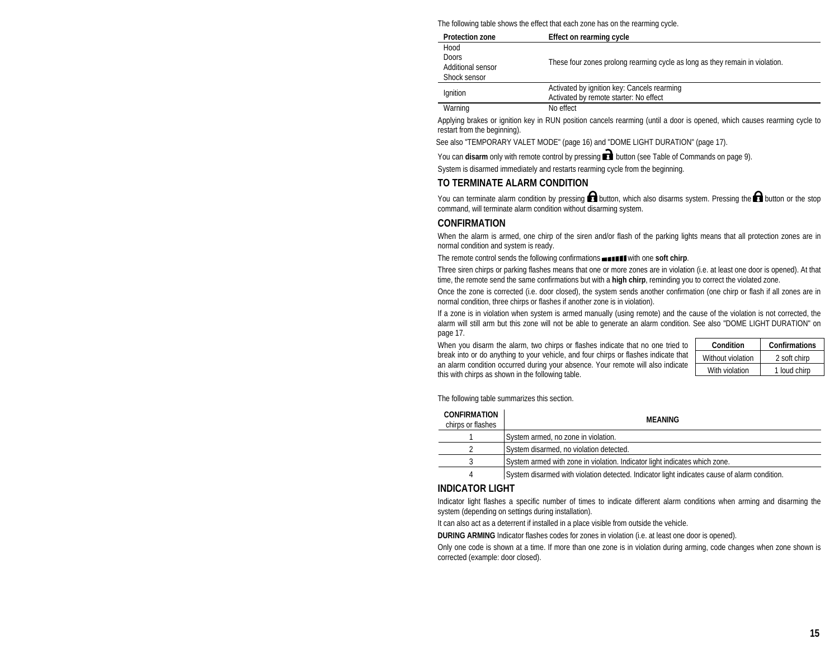The following table shows the effect that each zone has on the rearming cycle.

| <b>Protection zone</b>                             | Effect on rearming cycle                                                              |
|----------------------------------------------------|---------------------------------------------------------------------------------------|
| Hood<br>Doors<br>Additional sensor<br>Shock sensor | These four zones prolong rearming cycle as long as they remain in violation.          |
| Ignition                                           | Activated by ignition key: Cancels rearming<br>Activated by remote starter: No effect |
| Warning                                            | No effect                                                                             |

Applying brakes or ignition key in RUN position cancels rearming (until a door is opened, which causes rearming cycle to restart from the beginning).

See also "TEMPORARY VALET MODE" (page 16) and "DOME LIGHT DURATION" (page 17).

You can **disarm** only with remote control by pressing **button** (see Table of Commands on page 9).

System is disarmed immediately and restarts rearming cycle from the beginning.

## **TO TERMINATE ALARM CONDITION**

You can terminate alarm condition by pressing  $\Box$  button, which also disarms system. Pressing the  $\Box$  button or the stop command, will terminate alarm condition without disarming system.

## **CONFIRMATION**

When the alarm is armed, one chirp of the siren and/or flash of the parking lights means that all protection zones are in normal condition and system is ready.

The remote control sends the following confirmations **with the soft chirp**.

Three siren chirps or parking flashes means that one or more zones are in violation (i.e. at least one door is opened). At that time, the remote send the same confirmations but with a **high chirp**, reminding you to correct the violated zone.

Once the zone is corrected (i.e. door closed), the system sends another confirmation (one chirp or flash if all zones are in normal condition, three chirps or flashes if another zone is in violation).

If a zone is in violation when system is armed manually (using remote) and the cause of the violation is not corrected, the alarm will still arm but this zone will not be able to generate an alarm condition. See also "DOME LIGHT DURATION" on page 17.

When you disarm the alarm, two chirps or flashes indicate that no one tried to break into or do anything to your vehicle, and four chirps or flashes indicate that an alarm condition occurred during your absence. Your remote will also indicate this with chirps as shown in the following table.

| Condition         | Confirmations |
|-------------------|---------------|
| Without violation | 2 soft chirp  |
| With violation    | 1 loud chirp  |

The following table summarizes this section.

| <b>CONFIRMATION</b><br>chirps or flashes | MFANING                                                                                      |
|------------------------------------------|----------------------------------------------------------------------------------------------|
|                                          | System armed, no zone in violation.                                                          |
|                                          | System disarmed, no violation detected.                                                      |
|                                          | System armed with zone in violation. Indicator light indicates which zone.                   |
| 4                                        | System disarmed with violation detected. Indicator light indicates cause of alarm condition. |

## **INDICATOR LIGHT**

Indicator light flashes a specific number of times to indicate different alarm conditions when arming and disarming the system (depending on settings during installation).

It can also act as a deterrent if installed in a place visible from outside the vehicle.

**DURING ARMING** Indicator flashes codes for zones in violation (i.e. at least one door is opened).

Only one code is shown at a time. If more than one zone is in violation during arming, code changes when zone shown is corrected (example: door closed).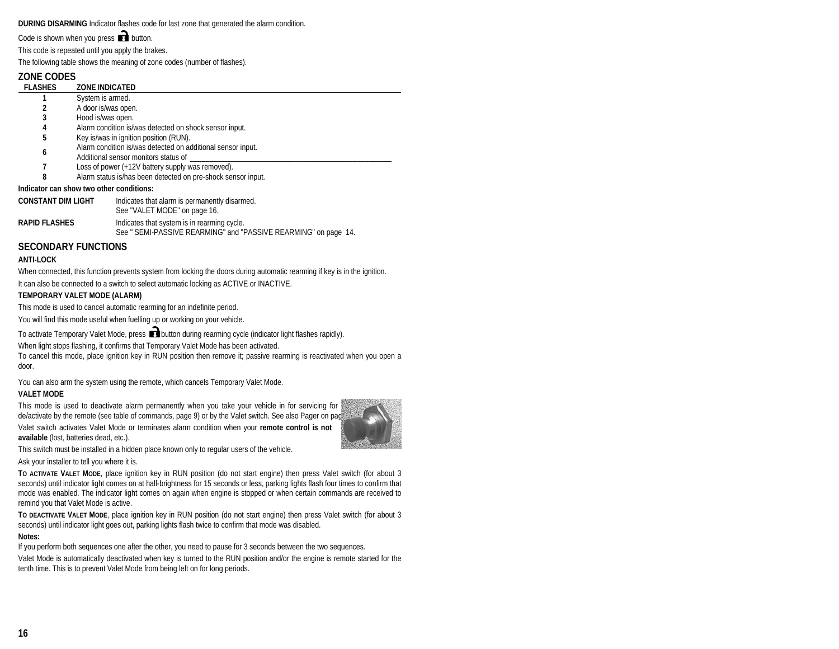**DURING DISARMING** Indicator flashes code for last zone that generated the alarm condition.

Code is shown when you press  $\Box$  button.

This code is repeated until you apply the brakes.

The following table shows the meaning of zone codes (number of flashes).

# **ZONE CODES**

| <b>FLASHES</b>                           | <b>ZONE INDICATED</b>                                                                               |  |
|------------------------------------------|-----------------------------------------------------------------------------------------------------|--|
|                                          | System is armed.                                                                                    |  |
| 2                                        | A door is/was open.                                                                                 |  |
| 3                                        | Hood is/was open.                                                                                   |  |
| 4                                        | Alarm condition is/was detected on shock sensor input.                                              |  |
| 5                                        | Key is/was in ignition position (RUN).                                                              |  |
| 6                                        | Alarm condition is/was detected on additional sensor input.<br>Additional sensor monitors status of |  |
|                                          | Loss of power (+12V battery supply was removed).                                                    |  |
| 8                                        | Alarm status is/has been detected on pre-shock sensor input.                                        |  |
| Indicator can show two other conditions: |                                                                                                     |  |
| CONSTANT DIM LIGHT                       | Indicates that alarm is permanently disarmed.                                                       |  |

| <b>CONSTANT DIM LIGHT</b> | Indicates that alarm is permanently disarmed.<br>See "VALET MODE" on page 16.                                  |
|---------------------------|----------------------------------------------------------------------------------------------------------------|
| <b>RAPID FLASHES</b>      | Indicates that system is in rearming cycle.<br>See " SEMI-PASSIVE REARMING" and "PASSIVE REARMING" on page 14. |

# **SECONDARY FUNCTIONS**

#### **ANTI-LOCK**

When connected, this function prevents system from locking the doors during automatic rearming if key is in the ignition. It can also be connected to a switch to select automatic locking as ACTIVE or INACTIVE.

#### **TEMPORARY VALET MODE (ALARM)**

This mode is used to cancel automatic rearming for an indefinite period.

You will find this mode useful when fuelling up or working on your vehicle.

To activate Temporary Valet Mode, press **button during rearming cycle (indicator light flashes rapidly)**.

When light stops flashing, it confirms that Temporary Valet Mode has been activated.

To cancel this mode, place ignition key in RUN position then remove it; passive rearming is reactivated when you open a door.

You can also arm the system using the remote, which cancels Temporary Valet Mode.

#### **VALET MODE**

This mode is used to deactivate alarm permanently when you take your vehicle in for servicing for de/activate by the remote (see table of commands, page 9) or by the Valet switch. See also Pager on pag Valet switch activates Valet Mode or terminates alarm condition when your **remote control is not available** (lost, batteries dead, etc.).



This switch must be installed in a hidden place known only to regular users of the vehicle.

Ask your installer to tell you where it is.

**TO ACTIVATE VALET MODE**, place ignition key in RUN position (do not start engine) then press Valet switch (for about 3 seconds) until indicator light comes on at half-brightness for 15 seconds or less, parking lights flash four times to confirm that mode was enabled. The indicator light comes on again when engine is stopped or when certain commands are received to remind you that Valet Mode is active.

**TO DEACTIVATE VALET MODE**, place ignition key in RUN position (do not start engine) then press Valet switch (for about 3 seconds) until indicator light goes out, parking lights flash twice to confirm that mode was disabled.

#### **Notes:**

If you perform both sequences one after the other, you need to pause for 3 seconds between the two sequences.

Valet Mode is automatically deactivated when key is turned to the RUN position and/or the engine is remote started for the tenth time. This is to prevent Valet Mode from being left on for long periods.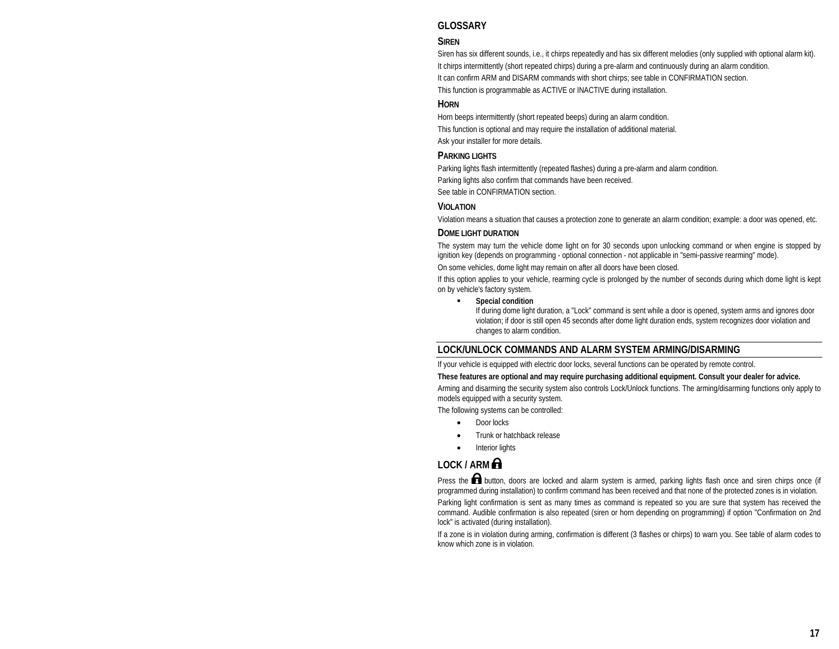# **GLOSSARY**

#### **SIREN**

Siren has six different sounds, i.e., it chirps repeatedly and has six different melodies (only supplied with optional alarm kit). It chirps intermittently (short repeated chirps) during a pre-alarm and continuously during an alarm condition. It can confirm ARM and DISARM commands with short chirps; see table in CONFIRMATION section. This function is programmable as ACTIVE or INACTIVE during installation.

### **HORN**

Horn beeps intermittently (short repeated beeps) during an alarm condition. This function is optional and may require the installation of additional material. Ask your installer for more details.

## **PARKING LIGHTS**

Parking lights flash intermittently (repeated flashes) during a pre-alarm and alarm condition.

Parking lights also confirm that commands have been received.

See table in CONFIRMATION section.

#### **VIOLATION**

Violation means a situation that causes a protection zone to generate an alarm condition; example: a door was opened, etc.

#### **DOME LIGHT DURATION**

The system may turn the vehicle dome light on for 30 seconds upon unlocking command or when engine is stopped by ignition key (depends on programming - optional connection - not applicable in "semi-passive rearming" mode).

On some vehicles, dome light may remain on after all doors have been closed.

If this option applies to your vehicle, rearming cycle is prolonged by the number of seconds during which dome light is kept on by vehicle's factory system.

#### п **Special condition**

If during dome light duration, a "Lock" command is sent while a door is opened, system arms and ignores door violation; if door is still open 45 seconds after dome light duration ends, system recognizes door violation and changes to alarm condition.

## **LOCK/UNLOCK COMMANDS AND ALARM SYSTEM ARMING/DISARMING**

If your vehicle is equipped with electric door locks, several functions can be operated by remote control.

#### **These features are optional and may require purchasing additional equipment. Consult your dealer for advice.**

Arming and disarming the security system also controls Lock/Unlock functions. The arming/disarming functions only apply to models equipped with a security system.

The following systems can be controlled:

- •Door locks
- •Trunk or hatchback release
- •Interior lights

# **LOCK / ARM**

Press the  $\blacksquare$  button, doors are locked and alarm system is armed, parking lights flash once and siren chirps once (if programmed during installation) to confirm command has been received and that none of the protected zones is in violation.

Parking light confirmation is sent as many times as command is repeated so you are sure that system has received the command. Audible confirmation is also repeated (siren or horn depending on programming) if option "Confirmation on 2nd lock" is activated (during installation).

If a zone is in violation during arming, confirmation is different (3 flashes or chirps) to warn you. See table of alarm codes to know which zone is in violation.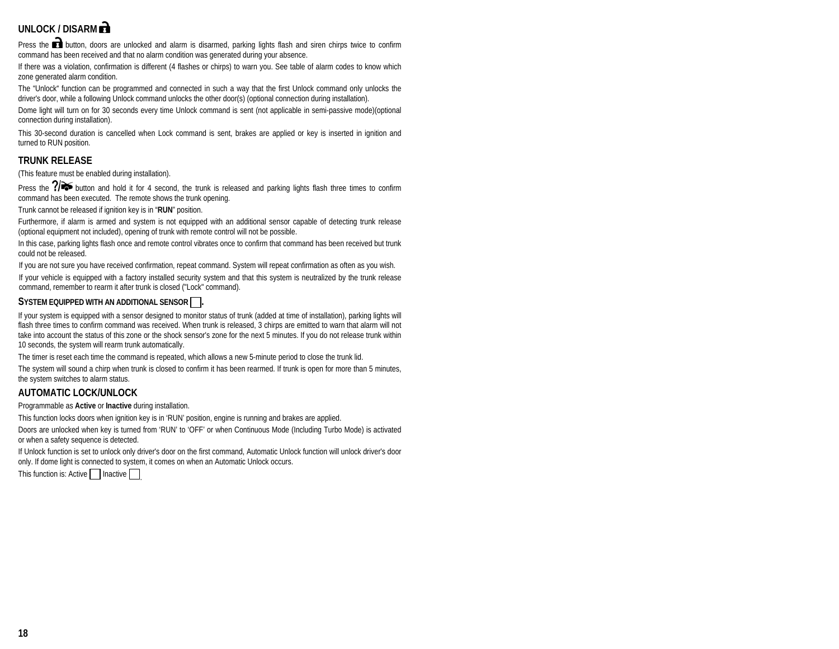# UNLOCK / DISARM **R**

Press the **button**, doors are unlocked and alarm is disarmed, parking lights flash and siren chirps twice to confirm command has been received and that no alarm condition was generated during your absence.

If there was a violation, confirmation is different (4 flashes or chirps) to warn you. See table of alarm codes to know which zone generated alarm condition.

The "Unlock" function can be programmed and connected in such a way that the first Unlock command only unlocks the driver's door, while a following Unlock command unlocks the other door(s) (optional connection during installation).

Dome light will turn on for 30 seconds every time Unlock command is sent (not applicable in semi-passive mode)(optional connection during installation).

This 30-second duration is cancelled when Lock command is sent, brakes are applied or key is inserted in ignition and turned to RUN position.

# **TRUNK RELEASE**

(This feature must be enabled during installation).

Press the  $7\rightarrow$  button and hold it for 4 second, the trunk is released and parking lights flash three times to confirm command has been executed. The remote shows the trunk opening.

Trunk cannot be released if ignition key is in "**RUN**" position.

Furthermore, if alarm is armed and system is not equipped with an additional sensor capable of detecting trunk release (optional equipment not included), opening of trunk with remote control will not be possible.

In this case, parking lights flash once and remote control vibrates once to confirm that command has been received but trunk could not be released.

If you are not sure you have received confirmation, repeat command. System will repeat confirmation as often as you wish.

If your vehicle is equipped with a factory installed security system and that this system is neutralized by the trunk release command, remember to rearm it after trunk is closed ("Lock" command).

#### SYSTEM EQUIPPED WITH AN ADDITIONAL SENSOR  $\Box$ .

If your system is equipped with a sensor designed to monitor status of trunk (added at time of installation), parking lights will flash three times to confirm command was received. When trunk is released, 3 chirps are emitted to warn that alarm will not take into account the status of this zone or the shock sensor's zone for the next 5 minutes. If you do not release trunk within 10 seconds, the system will rearm trunk automatically.

The timer is reset each time the command is repeated, which allows a new 5-minute period to close the trunk lid.

The system will sound a chirp when trunk is closed to confirm it has been rearmed. If trunk is open for more than 5 minutes, the system switches to alarm status.

## **AUTOMATIC LOCK/UNLOCK**

Programmable as **Active** or **Inactive** during installation.

This function locks doors when ignition key is in 'RUN' position, engine is running and brakes are applied.

Doors are unlocked when key is turned from 'RUN' to 'OFF' or when Continuous Mode (Including Turbo Mode) is activated or when a safety sequence is detected.

If Unlock function is set to unlock only driver's door on the first command, Automatic Unlock function will unlock driver's door only. If dome light is connected to system, it comes on when an Automatic Unlock occurs.

This function is: Active | | Inactive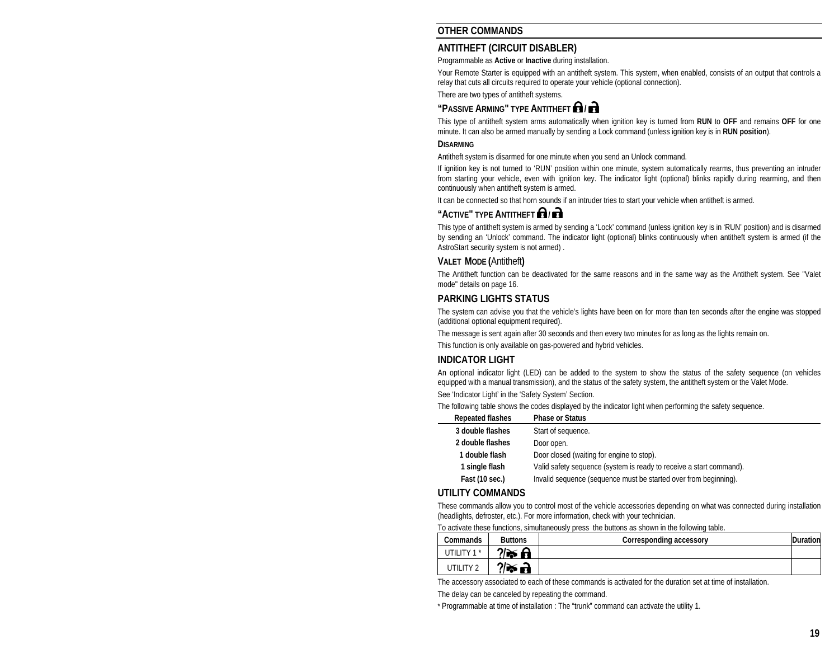# **OTHER COMMANDS**

# **ANTITHEFT (CIRCUIT DISABLER)**

Programmable as **Active** or **Inactive** during installation.

Your Remote Starter is equipped with an antitheft system. This system, when enabled, consists of an output that controls a relay that cuts all circuits required to operate your vehicle (optional connection).

There are two types of antitheft systems.

# **"PASSIVE ARMING" TYPE ANTITHEFT /**

This type of antitheft system arms automatically when ignition key is turned from **RUN** to **OFF** and remains **OFF** for one minute. It can also be armed manually by sending a Lock command (unless ignition key is in **RUN position**).

#### **DISARMING**

Antitheft system is disarmed for one minute when you send an Unlock command.

If ignition key is not turned to 'RUN' position within one minute, system automatically rearms, thus preventing an intruder from starting your vehicle, even with ignition key. The indicator light (optional) blinks rapidly during rearming, and then continuously when antitheft system is armed.

It can be connected so that horn sounds if an intruder tries to start your vehicle when antitheft is armed.

# **"ACTIVE" TYPE ANTITHEFT <b>Q**

This type of antitheft system is armed by sending a 'Lock' command (unless ignition key is in 'RUN' position) and is disarmed by sending an 'Unlock' command. The indicator light (optional) blinks continuously when antitheft system is armed (if the AstroStart security system is not armed) .

#### **VALET MODE (**Antitheft**)**

The Antitheft function can be deactivated for the same reasons and in the same way as the Antitheft system. See "Valet mode" details on page 16.

## **PARKING LIGHTS STATUS**

The system can advise you that the vehicle's lights have been on for more than ten seconds after the engine was stopped (additional optional equipment required).

The message is sent again after 30 seconds and then every two minutes for as long as the lights remain on.

This function is only available on gas-powered and hybrid vehicles.

#### **INDICATOR LIGHT**

An optional indicator light (LED) can be added to the system to show the status of the safety sequence (on vehicles equipped with a manual transmission), and the status of the safety system, the antitheft system or the Valet Mode. See 'Indicator Light' in the 'Safety System' Section.

The following table shows the codes displayed by the indicator light when performing the safety sequence.

| <b>Repeated flashes</b> | <b>Phase or Status</b>                                              |
|-------------------------|---------------------------------------------------------------------|
| 3 double flashes        | Start of sequence.                                                  |
| 2 double flashes        | Door open.                                                          |
| double flash            | Door closed (waiting for engine to stop).                           |
| 1 single flash          | Valid safety sequence (system is ready to receive a start command). |
| Fast (10 sec.)          | Invalid sequence (sequence must be started over from beginning).    |

## **UTILITY COMMANDS**

These commands allow you to control most of the vehicle accessories depending on what was connected during installation (headlights, defroster, etc.). For more information, check with your technician.

To activate these functions, simultaneously press the buttons as shown in the following table.

| Commands             | <b>Buttons</b>       | Corresponding accessory | Duration |
|----------------------|----------------------|-------------------------|----------|
| UTILITY 1*           | $? \triangleright$ A |                         |          |
| UTILITY <sub>2</sub> | ?⁄≫ छे               |                         |          |

The accessory associated to each of these commands is activated for the duration set at time of installation.

The delay can be canceled by repeating the command.

\* Programmable at time of installation : The "trunk" command can activate the utility 1.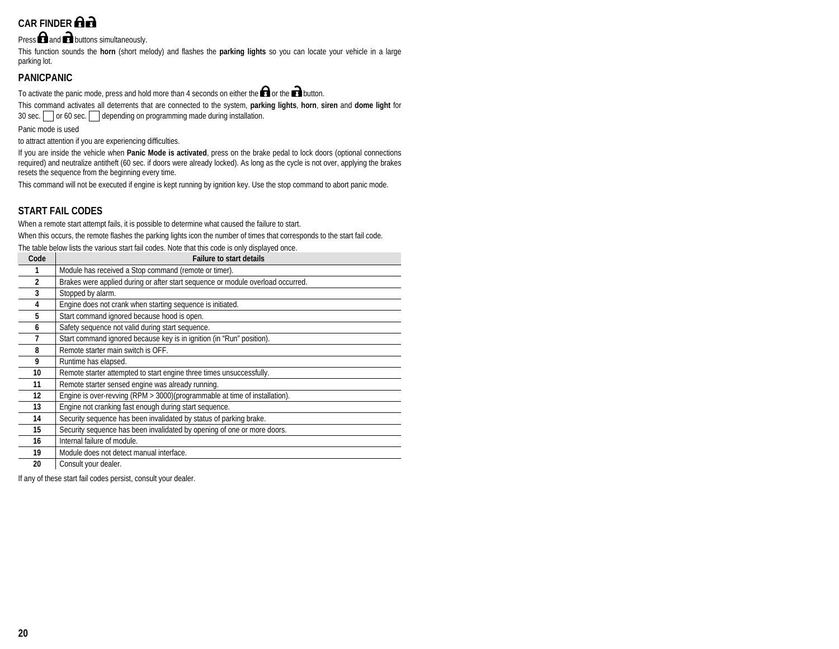# **CAR FINDER**

Press  $\bigcap$  and  $\bigcap$  buttons simultaneously.

This function sounds the **horn** (short melody) and flashes the **parking lights** so you can locate your vehicle in a large parking lot.

# **PANICPANIC**

To activate the panic mode, press and hold more than 4 seconds on either the  $\bigcap$  or the  $\bigcap$  button.

This command activates all deterrents that are connected to the system, **parking lights**, **horn**, **siren** and **dome light** for 30 sec.  $\Box$  or 60 sec.  $\Box$  depending on programming made during installation.

Panic mode is used

to attract attention if you are experiencing difficulties.

If you are inside the vehicle when **Panic Mode is activated**, press on the brake pedal to lock doors (optional connections required) and neutralize antitheft (60 sec. if doors were already locked). As long as the cycle is not over, applying the brakes resets the sequence from the beginning every time.

This command will not be executed if engine is kept running by ignition key. Use the stop command to abort panic mode.

# **START FAIL CODES**

When a remote start attempt fails, it is possible to determine what caused the failure to start.

When this occurs, the remote flashes the parking lights icon the number of times that corresponds to the start fail code.

The table below lists the various start fail codes. Note that this code is only displayed once.

| Code          | <b>Failure to start details</b>                                                 |
|---------------|---------------------------------------------------------------------------------|
|               | Module has received a Stop command (remote or timer).                           |
| $\mathfrak z$ | Brakes were applied during or after start sequence or module overload occurred. |
| 3             | Stopped by alarm.                                                               |
| 4             | Engine does not crank when starting sequence is initiated.                      |
| 5             | Start command ignored because hood is open.                                     |
| 6             | Safety sequence not valid during start sequence.                                |
|               | Start command ignored because key is in ignition (in "Run" position).           |
| 8             | Remote starter main switch is OFF.                                              |
| 9             | Runtime has elapsed.                                                            |
| 10            | Remote starter attempted to start engine three times unsuccessfully.            |
| 11            | Remote starter sensed engine was already running.                               |
| 12            | Engine is over-revving (RPM > 3000)(programmable at time of installation).      |
| 13            | Engine not cranking fast enough during start sequence.                          |
| 14            | Security sequence has been invalidated by status of parking brake.              |
| 15            | Security sequence has been invalidated by opening of one or more doors.         |
| 16            | Internal failure of module.                                                     |
| 19            | Module does not detect manual interface.                                        |
| 20            | Consult your dealer.                                                            |

If any of these start fail codes persist, consult your dealer.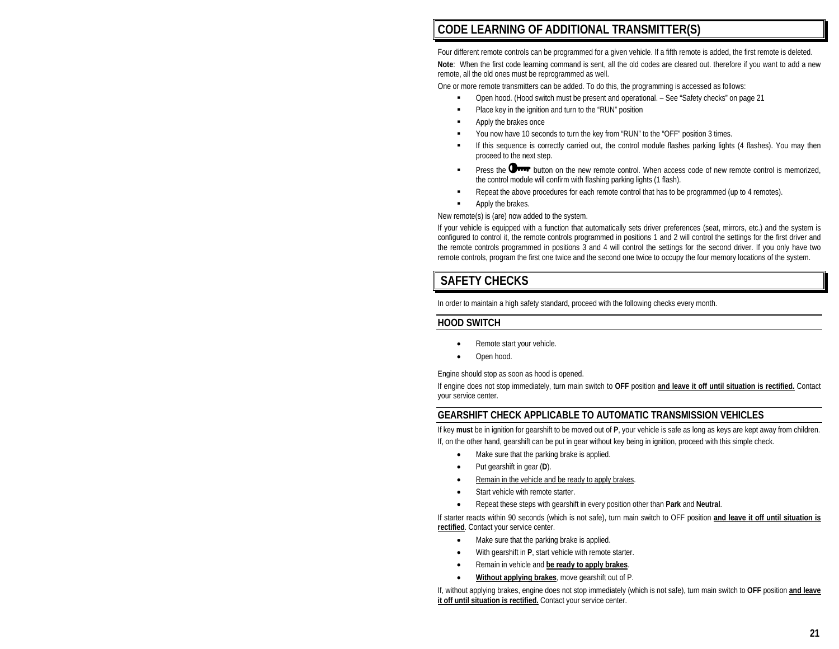# **CODE LEARNING OF ADDITIONAL TRANSMITTER(S)**

Four different remote controls can be programmed for a given vehicle. If a fifth remote is added, the first remote is deleted. **Note**: When the first code learning command is sent, all the old codes are cleared out. therefore if you want to add a new remote, all the old ones must be reprogrammed as well.

One or more remote transmitters can be added. To do this, the programming is accessed as follows:

- п Open hood. (Hood switch must be present and operational. – See "Safety checks" on page 21
- ä. Place key in the ignition and turn to the "RUN" position
- п Apply the brakes once
- п You now have 10 seconds to turn the key from "RUN" to the "OFF" position 3 times.
- п If this sequence is correctly carried out, the control module flashes parking lights (4 flashes). You may then proceed to the next step.
- п Press the **DIFF** button on the new remote control. When access code of new remote control is memorized, the control module will confirm with flashing parking lights (1 flash).
- п Repeat the above procedures for each remote control that has to be programmed (up to 4 remotes).
- п Apply the brakes.

New remote(s) is (are) now added to the system.

If your vehicle is equipped with a function that automatically sets driver preferences (seat, mirrors, etc.) and the system is configured to control it, the remote controls programmed in positions 1 and 2 will control the settings for the first driver and the remote controls programmed in positions 3 and 4 will control the settings for the second driver. If you only have two remote controls, program the first one twice and the second one twice to occupy the four memory locations of the system.

# **SAFETY CHECKS**

In order to maintain a high safety standard, proceed with the following checks every month.

## **HOOD SWITCH**

- •Remote start your vehicle.
- •Open hood.

Engine should stop as soon as hood is opened.

If engine does not stop immediately, turn main switch to **OFF** position **and leave it off until situation is rectified.** Contact your service center.

## **GEARSHIFT CHECK APPLICABLE TO AUTOMATIC TRANSMISSION VEHICLES**

If key **must** be in ignition for gearshift to be moved out of **P**, your vehicle is safe as long as keys are kept away from children. If, on the other hand, gearshift can be put in gear without key being in ignition, proceed with this simple check.

- •Make sure that the parking brake is applied.
- •Put gearshift in gear (**D**).
- •Remain in the vehicle and be ready to apply brakes.
- •Start vehicle with remote starter.
- •Repeat these steps with gearshift in every position other than **Park** and **Neutral**.

If starter reacts within 90 seconds (which is not safe), turn main switch to OFF position **and leave it off until situation is rectified**. Contact your service center.

- •Make sure that the parking brake is applied.
- •With gearshift in **P**, start vehicle with remote starter.
- •Remain in vehicle and **be ready to apply brakes**.
- •**Without applying brakes**, move gearshift out of P.

If, without applying brakes, engine does not stop immediately (which is not safe), turn main switch to **OFF** position **and leave it off until situation is rectified.** Contact your service center.